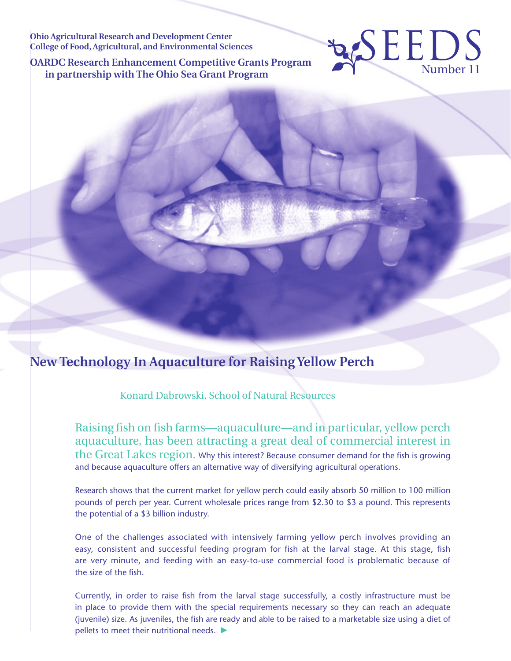**Ohio Agricultural Research and Development Center College of Food, Agricultural, and Environmental Sciences**

**OARDC Research Enhancement Competitive Grants Program RDC Research Enhancement Competitive Grants Program**<br> **in partnership with The Ohio Sea Grant Program** 

# **New Technology In Aquaculture for Raising Yellow Perch**

Konard Dabrowski, School of Natural Resources

Raising fish on fish farms—aquaculture—and in particular, yellow perch aquaculture, has been attracting a great deal of commercial interest in the Great Lakes region. Why this interest? Because consumer demand for the fish is growing and because aquaculture offers an alternative way of diversifying agricultural operations.

EEDS

Research shows that the current market for yellow perch could easily absorb 50 million to 100 million pounds of perch per year. Current wholesale prices range from \$2.30 to \$3 a pound. This represents the potential of a \$3 billion industry.

One of the challenges associated with intensively farming yellow perch involves providing an easy, consistent and successful feeding program for fish at the larval stage. At this stage, fish are very minute, and feeding with an easy-to-use commercial food is problematic because of the size of the fish.

Currently, in order to raise fish from the larval stage successfully, a costly infrastructure must be in place to provide them with the special requirements necessary so they can reach an adequate (juvenile) size. As juveniles, the fish are ready and able to be raised to a marketable size using a diet of pellets to meet their nutritional needs.